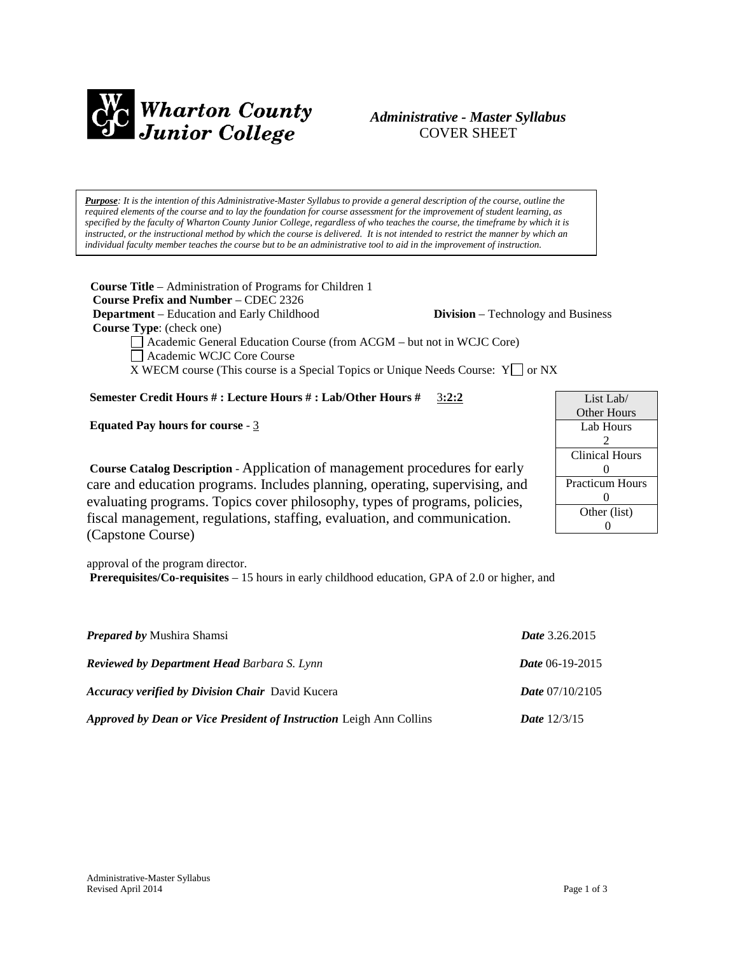

# *Administrative - Master Syllabus*  COVER SHEET

*Purpose: It is the intention of this Administrative-Master Syllabus to provide a general description of the course, outline the required elements of the course and to lay the foundation for course assessment for the improvement of student learning, as specified by the faculty of Wharton County Junior College, regardless of who teaches the course, the timeframe by which it is instructed, or the instructional method by which the course is delivered. It is not intended to restrict the manner by which an individual faculty member teaches the course but to be an administrative tool to aid in the improvement of instruction.*

**Course Title** – Administration of Programs for Children 1  **Course Prefix and Number** – CDEC 2326 **Department** – Education and Early Childhood **Division** – Technology and Business

 **Course Type**: (check one)

Academic General Education Course (from ACGM – but not in WCJC Core)

Academic WCJC Core Course

X WECM course (This course is a Special Topics or Unique Needs Course:  $Y \cap Y$  or NX

## **Semester Credit Hours # : Lecture Hours # : Lab/Other Hours #** 3**:2:2**

**Equated Pay hours for course** - 3

List Lab/ Other Hours Lab Hours 2 Clinical Hours  $\Omega$ Practicum Hours  $\Omega$ Other (list) 0

**Course Catalog Description** - Application of management procedures for early care and education programs. Includes planning, operating, supervising, and evaluating programs. Topics cover philosophy, types of programs, policies, fiscal management, regulations, staffing, evaluation, and communication. (Capstone Course)

approval of the program director. **Prerequisites/Co-requisites** – 15 hours in early childhood education, GPA of 2.0 or higher, and

| <b>Prepared by Mushira Shamsi</b>                                          | <b>Date</b> 3.26.2015    |
|----------------------------------------------------------------------------|--------------------------|
| <b>Reviewed by Department Head Barbara S. Lynn</b>                         | Date 06-19-2015          |
| <b>Accuracy verified by Division Chair</b> David Kucera                    | <i>Date</i> $07/10/2105$ |
| <b>Approved by Dean or Vice President of Instruction Leigh Ann Collins</b> | <b>Date</b> $12/3/15$    |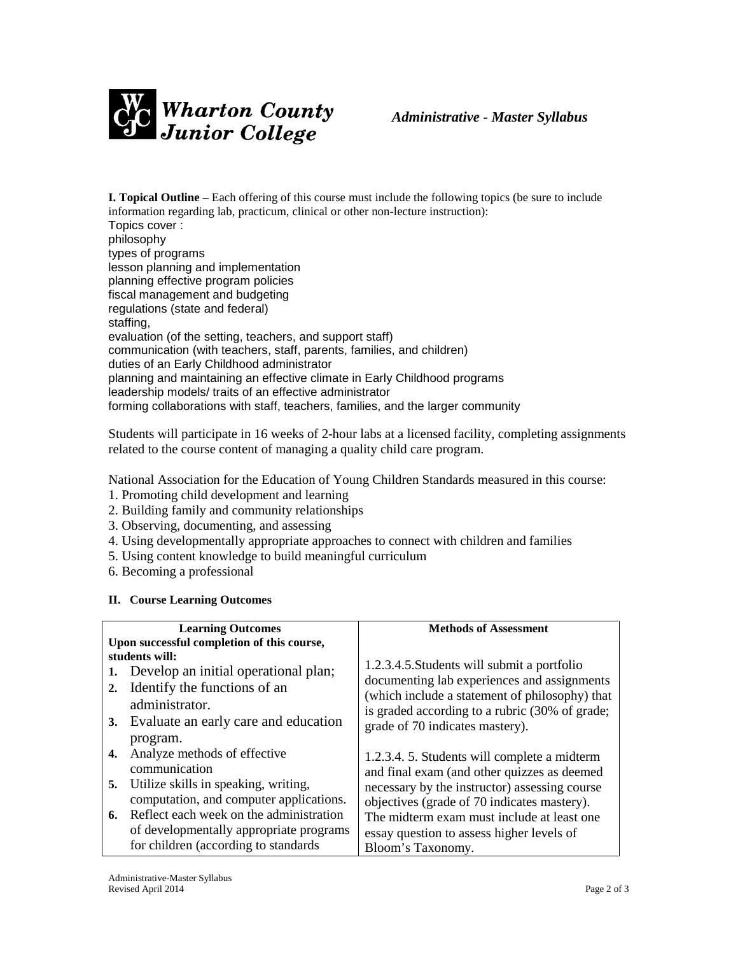

**I. Topical Outline** – Each offering of this course must include the following topics (be sure to include information regarding lab, practicum, clinical or other non-lecture instruction): Topics cover : philosophy types of programs lesson planning and implementation planning effective program policies fiscal management and budgeting regulations (state and federal) staffing, evaluation (of the setting, teachers, and support staff) communication (with teachers, staff, parents, families, and children) duties of an Early Childhood administrator planning and maintaining an effective climate in Early Childhood programs leadership models/ traits of an effective administrator forming collaborations with staff, teachers, families, and the larger community

Students will participate in 16 weeks of 2-hour labs at a licensed facility, completing assignments related to the course content of managing a quality child care program.

National Association for the Education of Young Children Standards measured in this course:

- 1. Promoting child development and learning
- 2. Building family and community relationships
- 3. Observing, documenting, and assessing
- 4. Using developmentally appropriate approaches to connect with children and families
- 5. Using content knowledge to build meaningful curriculum
- 6. Becoming a professional

## **II. Course Learning Outcomes**

|                                            | <b>Learning Outcomes</b>                   | <b>Methods of Assessment</b>                                                                     |  |
|--------------------------------------------|--------------------------------------------|--------------------------------------------------------------------------------------------------|--|
| Upon successful completion of this course, |                                            |                                                                                                  |  |
|                                            | students will:                             |                                                                                                  |  |
| 1.                                         | Develop an initial operational plan;       | 1.2.3.4.5. Students will submit a portfolio                                                      |  |
| 2.                                         | Identify the functions of an               | documenting lab experiences and assignments                                                      |  |
|                                            | administrator.                             | (which include a statement of philosophy) that<br>is graded according to a rubric (30% of grade; |  |
|                                            | 3. Evaluate an early care and education    | grade of 70 indicates mastery).                                                                  |  |
|                                            | program.                                   |                                                                                                  |  |
| 4.                                         | Analyze methods of effective               | 1.2.3.4. 5. Students will complete a midterm                                                     |  |
|                                            | communication                              | and final exam (and other quizzes as deemed                                                      |  |
|                                            | 5. Utilize skills in speaking, writing,    | necessary by the instructor) assessing course                                                    |  |
|                                            | computation, and computer applications.    | objectives (grade of 70 indicates mastery).                                                      |  |
|                                            | 6. Reflect each week on the administration | The midterm exam must include at least one.                                                      |  |
|                                            | of developmentally appropriate programs    | essay question to assess higher levels of                                                        |  |
|                                            | for children (according to standards)      | Bloom's Taxonomy.                                                                                |  |